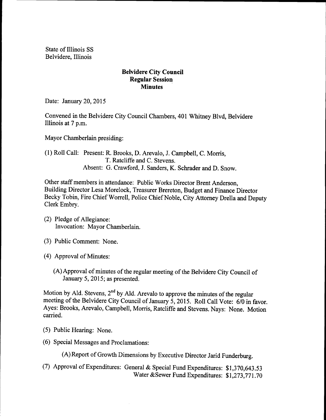State of Illinois SS Belvidere, Illinois

## Belvidere City Council Regular Session **Minutes**

Date: January 20, 2015

Convened in the Belvidere City Council Chambers, 401 Whitney Blvd, Belvidere Illinois at 7 p.m.

Mayor Chamberlain presiding:

1) Roll Call: Present: R. Brooks, D. Arevalo, J. Campbell, C. Morris, T. Ratcliffe and C. Stevens. Absent: G. Crawford, J. Sanders, K. Schrader and D. Snow.

Other staff members in attendance: Public Works Director Brent Anderson, Building Director Lesa Morelock, Treasurer Brereton, Budget and Finance Director Becky Tobin, Fire Chief Worrell, Police Chief Noble, City Attorney Drella and Deputy Clerk Embry.

- 2) Pledge of Allegiance: Invocation: Mayor Chamberlain.
- 3) Public Comment: None.
- (4) Approval of Minutes:
	- (A) Approval of minutes of the regular meeting of the Belvidere City Council of January 5, 2015; as presented.

Motion by Ald. Stevens, 2<sup>nd</sup> by Ald. Arevalo to approve the minutes of the regular meeting of the Belvidere City Council of January 5, 2015. Roll Call Vote:  $6\overline{0}$  in favor. Ayes: Brooks, Arevalo, Campbell, Morris, Ratcliffe and Stevens. Nays: None. Motion carried.

- 5) Public Hearing: None.
- 6) Special Messages and Proclamations:

A) Report of Growth Dimensions by Executive Director Jarid Funderburg.

(7) Approval of Expenditures: General & Special Fund Expenditures: \$1,370,643.53 Water & Sewer Fund Expenditures: \$1,273,771.70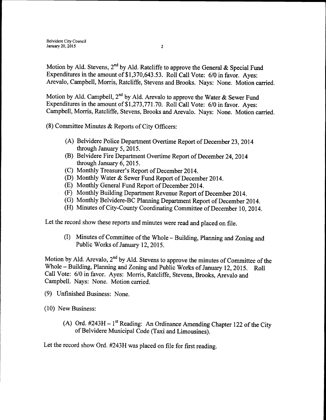Motion by Ald. Stevens, 2<sup>nd</sup> by Ald. Ratcliffe to approve the General & Special Fund Expenditures in the amount of  $$1,370,643.53$ . Roll Call Vote: 6/0 in favor. Ayes: Arevalo, Campbell, Morris, Ratcliffe, Stevens and Brooks. Nays: None. Motion carried.

Motion by Ald. Campbell, 2<sup>nd</sup> by Ald. Arevalo to approve the Water & Sewer Fund Expenditures in the amount of \$1,273,771.70. Roll Call Vote: 6/0 in favor. Ayes: Campbell, Morris, Ratcliffe, Stevens, Brooks and Arevalo. Nays: None. Motion carried.

- 8) Committee Minutes & Reports of City Officers:
	- (A) Belvidere Police Department Overtime Report of December 23, 2014 through January 5, 2015.
	- (B) Belvidere Fire Department Overtime Report of December 24, 2014 through January 6, 2015.
	- (C) Monthly Treasurer's Report of December 2014.
	- D) Monthly Water& Sewer Fund Report of December 2014.
	- (E) Monthly General Fund Report of December 2014.
	- F) Monthly Building Department Revenue Report of December 2014.
	- G) Monthly Belvidere-BC Planning Department Report of December 2014.
	- H) Minutes of City-County Coordinating Committee of December 10, 2014.

Let the record show these reports and minutes were read and placed on file.

(I) Minutes of Committee of the Whole – Building, Planning and Zoning and Public Works of January 12, 2015.

Motion by Ald. Arevalo,  $2^{nd}$  by Ald. Stevens to approve the minutes of Committee of the Whole – Building, Planning and Zoning and Public Works of January 12, 2015. Roll Call Vote: 6/0 in favor. Ayes: Morris, Ratcliffe, Stevens, Brooks, Arevalo and Campbell. Nays: None. Motion carried.

- 9) Unfinished Business: None.
- 10) New Business:
	- A) Ord.  $#243H 1$ <sup>st</sup> Reading: An Ordinance Amending Chapter 122 of the City of Belvidere Municipal Code( Taxi and Limousines).

Let the record show Ord. #243H was placed on file for first reading.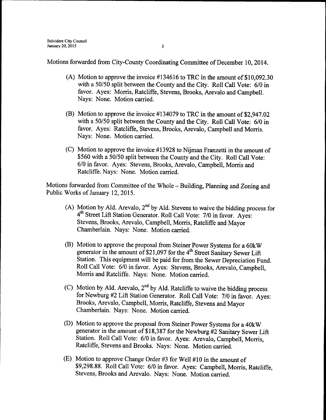Motions forwarded from City-County Coordinating Committee of December 10, 2014.

- (A) Motion to approve the invoice  $\#134616$  to TRC in the amount of \$10,092.30 with a 50/50 split between the County and the City. Roll Call Vote: 6/0 in favor. Ayes: Morris, Ratcliffe, Stevens, Brooks, Arevalo and Campbell. Nays: None. Motion carried.
- (B) Motion to approve the invoice  $\#134079$  to TRC in the amount of \$2,947.02 with a 50/50 split between the County and the City. Roll Call Vote: 6/0 in favor. Ayes: Ratcliffe, Stevens, Brooks, Arevalo, Campbell and Morris. Nays: None. Motion carried.
- $(C)$  Motion to approve the invoice #13928 to Nijman Franzetti in the amount of \$560 with a 50/50 split between the County and the City. Roll Call Vote: 6/0 in favor. Ayes: Stevens, Brooks, Arevalo, Campbell, Morris and Ratcliffe. Nays: None. Motion carried.

Motions forwarded from Committee of the Whole - Building, Planning and Zoning and Public Works of January 12, 2015.

- A) Motion by Ald. Arevalo,  $2^{nd}$  by Ald. Stevens to waive the bidding process for 4<sup>th</sup> Street Lift Station Generator. Roll Call Vote: 7/0 in favor. Ayes: Stevens, Brooks, Arevalo, Campbell, Morris, Ratcliffe and Mayor Chamberlain. Nays: None. Motion carried.
- B) Motion to approve the proposal from Steiner Power Systems for <sup>a</sup> 60kW generator in the amount of \$21,097 for the 4<sup>th</sup> Street Sanitary Sewer Lift Station. This equipment will be paid for from the Sewer Depreciation Fund. Roll Call Vote: 6/0 in favor. Ayes: Stevens, Brooks, Arevalo, Campbell, Morris and Ratcliffe. Nays: None. Motion carried.
- C) Motion by Ald. Arevalo,  $2<sup>nd</sup>$  by Ald. Ratcliffe to waive the bidding process for Newburg #2 Lift Station Generator. Roll Call Vote: 7/0 in favor. Ayes: Brooks, Arevalo, Campbell, Morris, Ratcliffe, Stevens and Mayor Chamberlain. Nays: None. Motion carried.
- D) Motion to approve the proposal from Steiner Power Systems for <sup>a</sup> 40kW generator in the amount of \$18,387 for the Newburg #2 Sanitary Sewer Lift Station. Roll Call Vote: 6/0 in favor. Ayes: Arevalo, Campbell, Morris, Ratcliffe, Stevens and Brooks. Nays: None. Motion carried.
- (E) Motion to approve Change Order #3 for Well  $#10$  in the amount of \$9,298.88. Roll Call Vote: 6/0 in favor. Ayes: Campbell, Morris, Ratcliffe, Stevens, Brooks and Arevalo. Nays: None. Motion carried.